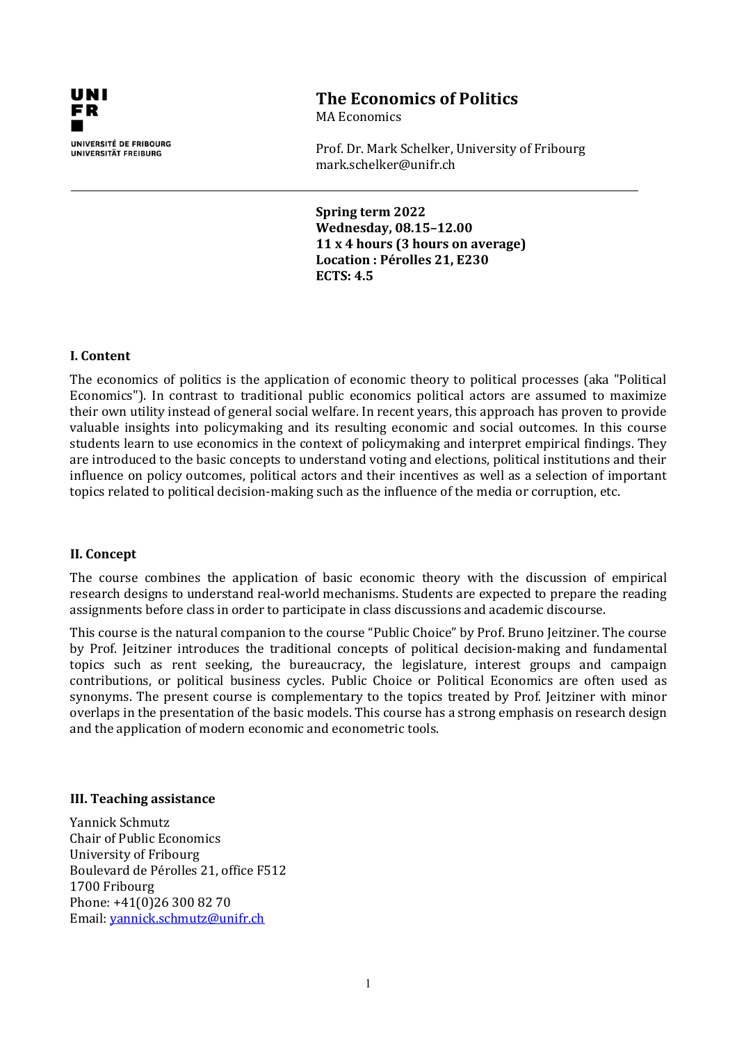

# **The Economics of Politics**

MA Economics

Prof. Dr. Mark Schelker, University of Fribourg mark.schelker@unifr.ch

**Spring term 2022 Wednesday, 08.15–12.00 11 x 4 hours (3 hours on average) Location : Pérolles 21, E230 ECTS: 4.5**

## **I. Content**

The economics of politics is the application of economic theory to political processes (aka "Political Economics"). In contrast to traditional public economics political actors are assumed to maximize their own utility instead of general social welfare. In recent years, this approach has proven to provide valuable insights into policymaking and its resulting economic and social outcomes. In this course students learn to use economics in the context of policymaking and interpret empirical findings. They are introduced to the basic concepts to understand voting and elections, political institutions and their influence on policy outcomes, political actors and their incentives as well as a selection of important topics related to political decision-making such as the influence of the media or corruption, etc.

#### **II. Concept**

The course combines the application of basic economic theory with the discussion of empirical research designs to understand real-world mechanisms. Students are expected to prepare the reading assignments before class in order to participate in class discussions and academic discourse.

This course is the natural companion to the course "Public Choice" by Prof. Bruno Jeitziner. The course by Prof. Jeitziner introduces the traditional concepts of political decision-making and fundamental topics such as rent seeking, the bureaucracy, the legislature, interest groups and campaign contributions, or political business cycles. Public Choice or Political Economics are often used as synonyms. The present course is complementary to the topics treated by Prof. Jeitziner with minor overlaps in the presentation of the basic models. This course has a strong emphasis on research design and the application of modern economic and econometric tools.

#### **III. Teaching assistance**

Yannick Schmutz Chair of Public Economics University of Fribourg Boulevard de Pérolles 21, office F512 1700 Fribourg Phone: +41(0)26 300 82 70 Email: [yannick.schmutz@unifr.ch](mailto:yannick.schmutz@unifr.ch)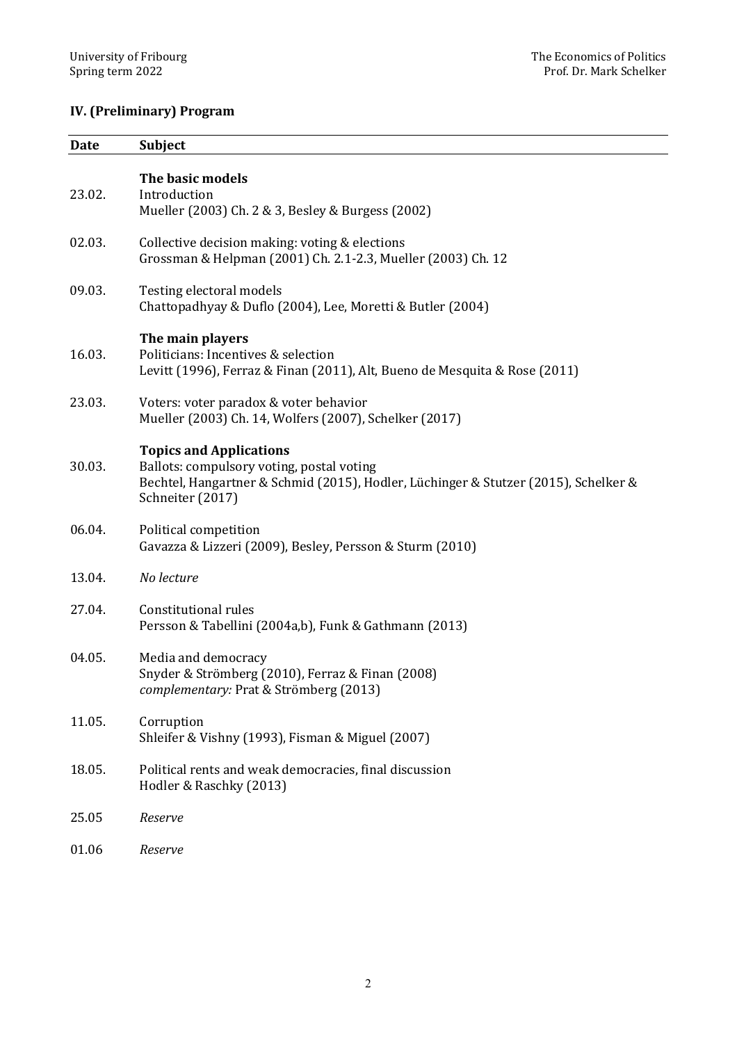# **IV. (Preliminary) Program**

| <b>Date</b> | Subject                                                                                                                                                                                |
|-------------|----------------------------------------------------------------------------------------------------------------------------------------------------------------------------------------|
| 23.02.      | The basic models<br>Introduction<br>Mueller (2003) Ch. 2 & 3, Besley & Burgess (2002)                                                                                                  |
| 02.03.      | Collective decision making: voting & elections<br>Grossman & Helpman (2001) Ch. 2.1-2.3, Mueller (2003) Ch. 12                                                                         |
| 09.03.      | Testing electoral models<br>Chattopadhyay & Duflo (2004), Lee, Moretti & Butler (2004)                                                                                                 |
| 16.03.      | The main players<br>Politicians: Incentives & selection<br>Levitt (1996), Ferraz & Finan (2011), Alt, Bueno de Mesquita & Rose (2011)                                                  |
| 23.03.      | Voters: voter paradox & voter behavior<br>Mueller (2003) Ch. 14, Wolfers (2007), Schelker (2017)                                                                                       |
| 30.03.      | <b>Topics and Applications</b><br>Ballots: compulsory voting, postal voting<br>Bechtel, Hangartner & Schmid (2015), Hodler, Lüchinger & Stutzer (2015), Schelker &<br>Schneiter (2017) |
| 06.04.      | Political competition<br>Gavazza & Lizzeri (2009), Besley, Persson & Sturm (2010)                                                                                                      |
| 13.04.      | No lecture                                                                                                                                                                             |
| 27.04.      | <b>Constitutional rules</b><br>Persson & Tabellini (2004a,b), Funk & Gathmann (2013)                                                                                                   |
| 04.05.      | Media and democracy<br>Snyder & Strömberg (2010), Ferraz & Finan (2008)<br>complementary: Prat & Strömberg (2013)                                                                      |
| 11.05.      | Corruption<br>Shleifer & Vishny (1993), Fisman & Miguel (2007)                                                                                                                         |
| 18.05.      | Political rents and weak democracies, final discussion<br>Hodler & Raschky (2013)                                                                                                      |
| 25.05       | Reserve                                                                                                                                                                                |
| 01.06       | Reserve                                                                                                                                                                                |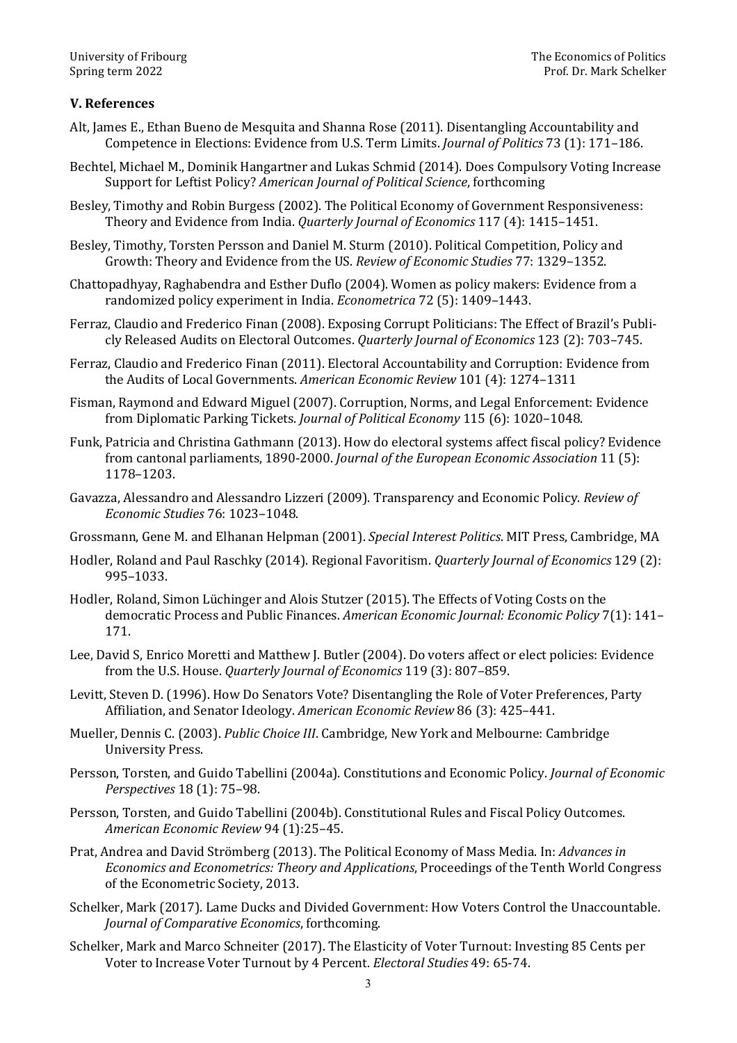## **V. References**

- Alt, James E., Ethan Bueno de Mesquita and Shanna Rose (2011). Disentangling Accountability and Competence in Elections: Evidence from U.S. Term Limits. *Journal of Politics* 73 (1): 171–186.
- Bechtel, Michael M., Dominik Hangartner and Lukas Schmid (2014). Does Compulsory Voting Increase Support for Leftist Policy? *American Journal of Political Science*, forthcoming
- Besley, Timothy and Robin Burgess (2002). The Political Economy of Government Responsiveness: Theory and Evidence from India. *Quarterly Journal of Economics* 117 (4): 1415–1451.
- Besley, Timothy, Torsten Persson and Daniel M. Sturm (2010). Political Competition, Policy and Growth: Theory and Evidence from the US. *Review of Economic Studies* 77: 1329–1352.
- Chattopadhyay, Raghabendra and Esther Duflo (2004). Women as policy makers: Evidence from a randomized policy experiment in India. *Econometrica* 72 (5): 1409–1443.
- Ferraz, Claudio and Frederico Finan (2008). Exposing Corrupt Politicians: The Effect of Brazil's Publicly Released Audits on Electoral Outcomes. *Quarterly Journal of Economics* 123 (2): 703–745.
- Ferraz, Claudio and Frederico Finan (2011). Electoral Accountability and Corruption: Evidence from the Audits of Local Governments. *American Economic Review* 101 (4): 1274–1311
- Fisman, Raymond and Edward Miguel (2007). Corruption, Norms, and Legal Enforcement: Evidence from Diplomatic Parking Tickets. *Journal of Political Economy* 115 (6): 1020–1048.
- Funk, Patricia and Christina Gathmann (2013). How do electoral systems affect fiscal policy? Evidence from cantonal parliaments, 1890-2000. *Journal of the European Economic Association* 11 (5): 1178–1203.
- Gavazza, Alessandro and Alessandro Lizzeri (2009). Transparency and Economic Policy. *Review of Economic Studies* 76: 1023–1048.
- Grossmann, Gene M. and Elhanan Helpman (2001). *Special Interest Politics*. MIT Press, Cambridge, MA
- Hodler, Roland and Paul Raschky (2014). Regional Favoritism. *Quarterly Journal of Economics* 129 (2): 995–1033.
- Hodler, Roland, Simon Lüchinger and Alois Stutzer (2015). The Effects of Voting Costs on the democratic Process and Public Finances. *American Economic Journal: Economic Policy* 7(1): 141– 171.
- Lee, David S, Enrico Moretti and Matthew J. Butler (2004). Do voters affect or elect policies: Evidence from the U.S. House. *Quarterly Journal of Economics* 119 (3): 807–859.
- Levitt, Steven D. (1996). How Do Senators Vote? Disentangling the Role of Voter Preferences, Party Affiliation, and Senator Ideology. *American Economic Review* 86 (3): 425–441.
- Mueller, Dennis C. (2003). *Public Choice III*. Cambridge, New York and Melbourne: Cambridge University Press.
- Persson, Torsten, and Guido Tabellini (2004a). Constitutions and Economic Policy. *Journal of Economic Perspectives* 18 (1): 75–98.
- Persson, Torsten, and Guido Tabellini (2004b). Constitutional Rules and Fiscal Policy Outcomes. *American Economic Review* 94 (1):25–45.
- Prat, Andrea and David Strömberg (2013). The Political Economy of Mass Media. In: *Advances in Economics and Econometrics: Theory and Applications*, Proceedings of the Tenth World Congress of the Econometric Society, 2013.
- Schelker, Mark (2017). Lame Ducks and Divided Government: How Voters Control the Unaccountable. *Journal of Comparative Economics*, forthcoming.
- Schelker, Mark and Marco Schneiter (2017). The Elasticity of Voter Turnout: Investing 85 Cents per Voter to Increase Voter Turnout by 4 Percent. *Electoral Studies* 49: 65-74.